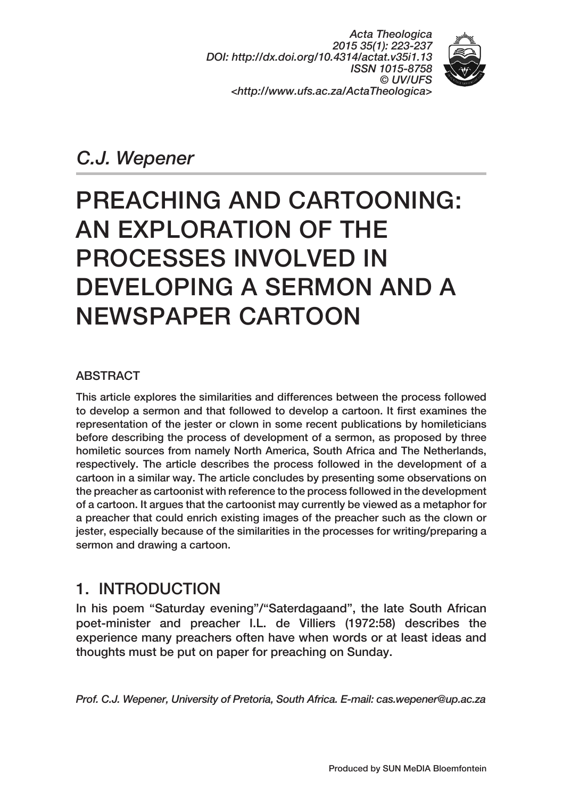*Acta Theologica 2015 35(1): 223‑237 DOI: http://dx.doi.org/10.4314/actat.v35i1.13 ISSN 1015‑8758 © UV/UFS <http://www.ufs.ac.za/ActaTheologica>*



## *C.J. Wepener*

# PREACHING AND CARTOONING: AN EXPLORATION OF THE PROCESSES INVOLVED IN DEVELOPING A SERMON AND A NEWSPAPER CARTOON

### ABSTRACT

This article explores the similarities and differences between the process followed to develop a sermon and that followed to develop a cartoon. It first examines the representation of the jester or clown in some recent publications by homileticians before describing the process of development of a sermon, as proposed by three homiletic sources from namely North America, South Africa and The Netherlands, respectively. The article describes the process followed in the development of a cartoon in a similar way. The article concludes by presenting some observations on the preacher as cartoonist with reference to the process followed in the development of a cartoon. It argues that the cartoonist may currently be viewed as a metaphor for a preacher that could enrich existing images of the preacher such as the clown or jester, especially because of the similarities in the processes for writing/preparing a sermon and drawing a cartoon.

## 1. INTRODUCTION

In his poem "Saturday evening"/"Saterdagaand", the late South African poet-minister and preacher I.L. de Villiers (1972:58) describes the experience many preachers often have when words or at least ideas and thoughts must be put on paper for preaching on Sunday.

*Prof. C.J. Wepener, University of Pretoria, South Africa. E‑mail: cas.wepener@up.ac.za*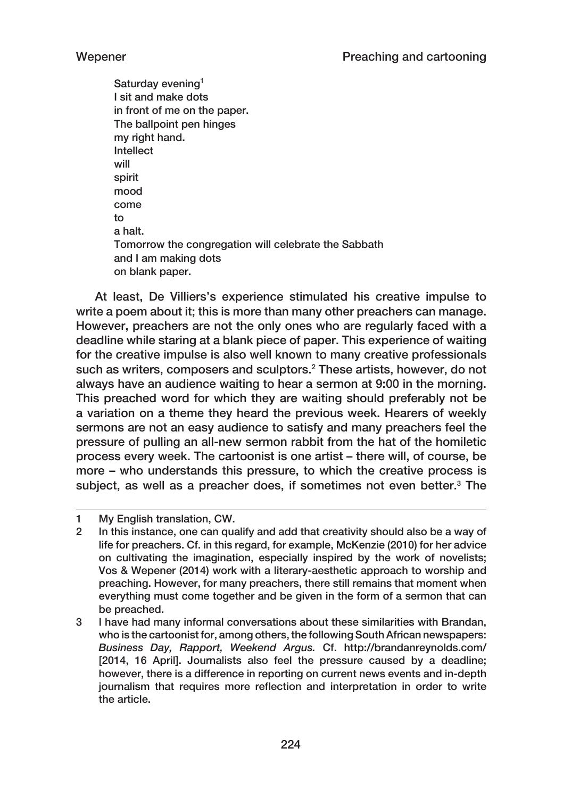Saturday evening<sup>1</sup> I sit and make dots in front of me on the paper. The ballpoint pen hinges my right hand. Intellect will spirit mood come to a halt. Tomorrow the congregation will celebrate the Sabbath and I am making dots on blank paper.

At least, De Villiers's experience stimulated his creative impulse to write a poem about it; this is more than many other preachers can manage. However, preachers are not the only ones who are regularly faced with a deadline while staring at a blank piece of paper. This experience of waiting for the creative impulse is also well known to many creative professionals such as writers, composers and sculptors.2 These artists, however, do not always have an audience waiting to hear a sermon at 9:00 in the morning. This preached word for which they are waiting should preferably not be a variation on a theme they heard the previous week. Hearers of weekly sermons are not an easy audience to satisfy and many preachers feel the pressure of pulling an all-new sermon rabbit from the hat of the homiletic process every week. The cartoonist is one artist – there will, of course, be more – who understands this pressure, to which the creative process is subject, as well as a preacher does, if sometimes not even better.<sup>3</sup> The

<sup>1</sup> My English translation, CW.

<sup>2</sup> In this instance, one can qualify and add that creativity should also be a way of life for preachers. Cf. in this regard, for example, McKenzie (2010) for her advice on cultivating the imagination, especially inspired by the work of novelists; Vos & Wepener (2014) work with a literary‑aesthetic approach to worship and preaching. However, for many preachers, there still remains that moment when everything must come together and be given in the form of a sermon that can be preached.

<sup>3</sup> I have had many informal conversations about these similarities with Brandan, who is the cartoonist for, among others, the following South African newspapers: *Business Day, Rapport, Weekend Argus.* Cf. http://brandanreynolds.com/ [2014, 16 April]. Journalists also feel the pressure caused by a deadline; however, there is a difference in reporting on current news events and in‑depth journalism that requires more reflection and interpretation in order to write the article.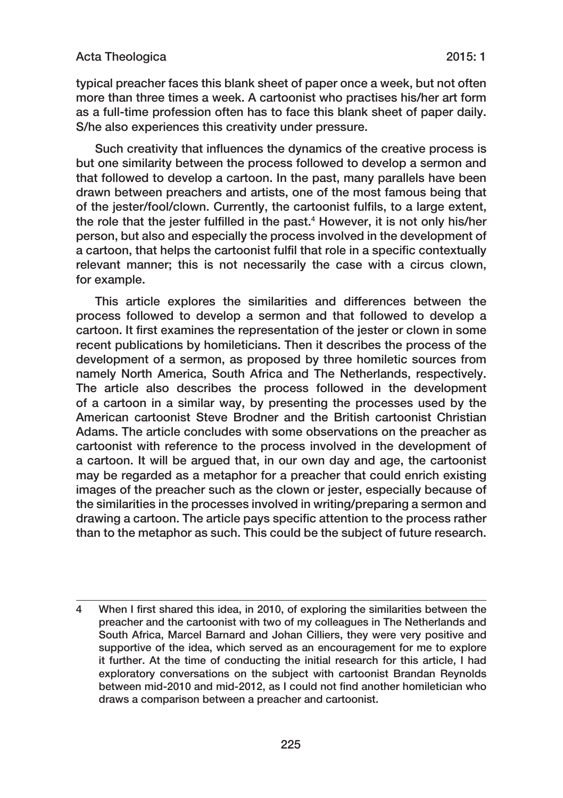typical preacher faces this blank sheet of paper once a week, but not often more than three times a week. A cartoonist who practises his/her art form as a full-time profession often has to face this blank sheet of paper daily. S/he also experiences this creativity under pressure.

Such creativity that influences the dynamics of the creative process is but one similarity between the process followed to develop a sermon and that followed to develop a cartoon. In the past, many parallels have been drawn between preachers and artists, one of the most famous being that of the jester/fool/clown. Currently, the cartoonist fulfils, to a large extent, the role that the jester fulfilled in the past.<sup>4</sup> However, it is not only his/her person, but also and especially the process involved in the development of a cartoon, that helps the cartoonist fulfil that role in a specific contextually relevant manner; this is not necessarily the case with a circus clown, for example.

This article explores the similarities and differences between the process followed to develop a sermon and that followed to develop a cartoon. It first examines the representation of the jester or clown in some recent publications by homileticians. Then it describes the process of the development of a sermon, as proposed by three homiletic sources from namely North America, South Africa and The Netherlands, respectively. The article also describes the process followed in the development of a cartoon in a similar way, by presenting the processes used by the American cartoonist Steve Brodner and the British cartoonist Christian Adams. The article concludes with some observations on the preacher as cartoonist with reference to the process involved in the development of a cartoon. It will be argued that, in our own day and age, the cartoonist may be regarded as a metaphor for a preacher that could enrich existing images of the preacher such as the clown or jester, especially because of the similarities in the processes involved in writing/preparing a sermon and drawing a cartoon. The article pays specific attention to the process rather than to the metaphor as such. This could be the subject of future research.

<sup>4</sup> When I first shared this idea, in 2010, of exploring the similarities between the preacher and the cartoonist with two of my colleagues in The Netherlands and South Africa, Marcel Barnard and Johan Cilliers, they were very positive and supportive of the idea, which served as an encouragement for me to explore it further. At the time of conducting the initial research for this article, I had exploratory conversations on the subject with cartoonist Brandan Reynolds between mid-2010 and mid-2012, as I could not find another homiletician who draws a comparison between a preacher and cartoonist.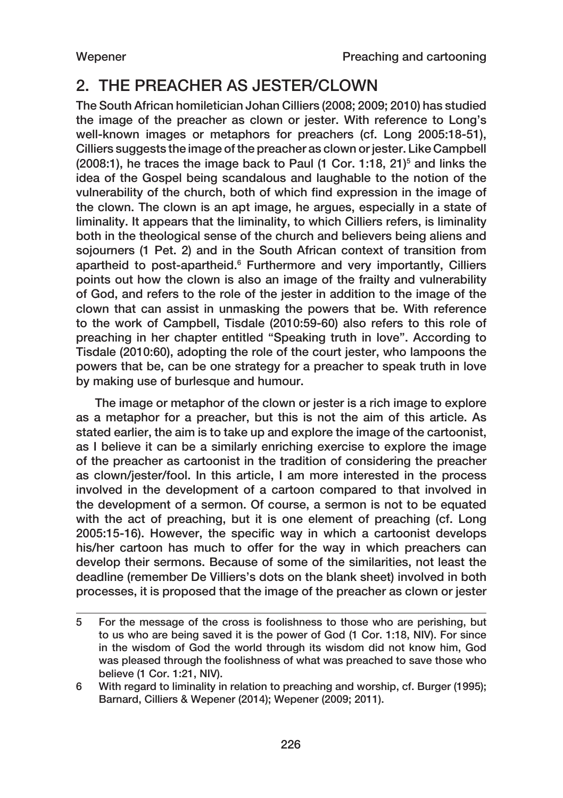## 2. THE PREACHER AS JESTER/CLOWN

The South African homiletician Johan Cilliers (2008; 2009; 2010) has studied the image of the preacher as clown or jester. With reference to Long's well-known images or metaphors for preachers (cf. Long 2005:18-51), Cilliers suggests the image of the preacher as clown or jester. Like Campbell (2008:1), he traces the image back to Paul (1 Cor. 1:18, 21)<sup>5</sup> and links the idea of the Gospel being scandalous and laughable to the notion of the vulnerability of the church, both of which find expression in the image of the clown. The clown is an apt image, he argues, especially in a state of liminality. It appears that the liminality, to which Cilliers refers, is liminality both in the theological sense of the church and believers being aliens and sojourners (1 Pet. 2) and in the South African context of transition from apartheid to post-apartheid.<sup>6</sup> Furthermore and very importantly, Cilliers points out how the clown is also an image of the frailty and vulnerability of God, and refers to the role of the jester in addition to the image of the clown that can assist in unmasking the powers that be. With reference to the work of Campbell, Tisdale (2010:59‑60) also refers to this role of preaching in her chapter entitled "Speaking truth in love". According to Tisdale (2010:60), adopting the role of the court jester, who lampoons the powers that be, can be one strategy for a preacher to speak truth in love by making use of burlesque and humour.

The image or metaphor of the clown or jester is a rich image to explore as a metaphor for a preacher, but this is not the aim of this article. As stated earlier, the aim is to take up and explore the image of the cartoonist, as I believe it can be a similarly enriching exercise to explore the image of the preacher as cartoonist in the tradition of considering the preacher as clown/jester/fool. In this article, I am more interested in the process involved in the development of a cartoon compared to that involved in the development of a sermon. Of course, a sermon is not to be equated with the act of preaching, but it is one element of preaching (cf. Long 2005:15‑16). However, the specific way in which a cartoonist develops his/her cartoon has much to offer for the way in which preachers can develop their sermons. Because of some of the similarities, not least the deadline (remember De Villiers's dots on the blank sheet) involved in both processes, it is proposed that the image of the preacher as clown or jester

<sup>5</sup> For the message of the cross is foolishness to those who are perishing, but to us who are being saved it is the power of God (1 Cor. 1:18, NIV). For since in the wisdom of God the world through its wisdom did not know him, God was pleased through the foolishness of what was preached to save those who believe (1 Cor. 1:21, NIV).

<sup>6</sup> With regard to liminality in relation to preaching and worship, cf. Burger (1995); Barnard, Cilliers & Wepener (2014); Wepener (2009; 2011).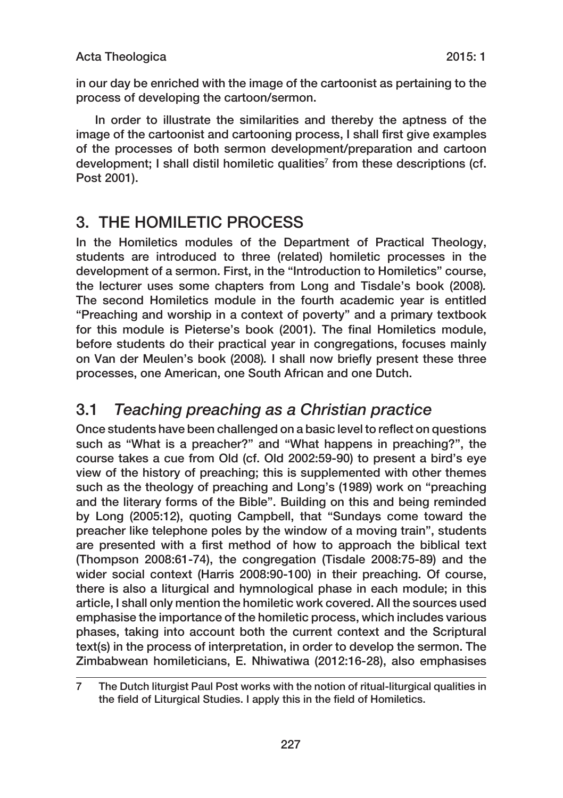in our day be enriched with the image of the cartoonist as pertaining to the process of developing the cartoon/sermon.

In order to illustrate the similarities and thereby the aptness of the image of the cartoonist and cartooning process, I shall first give examples of the processes of both sermon development/preparation and cartoon development; I shall distil homiletic qualities<sup>7</sup> from these descriptions (cf. Post 2001).

## 3. THE HOMILETIC PROCESS

In the Homiletics modules of the Department of Practical Theology, students are introduced to three (related) homiletic processes in the development of a sermon. First, in the "Introduction to Homiletics" course, the lecturer uses some chapters from Long and Tisdale's book (2008)*.*  The second Homiletics module in the fourth academic year is entitled "Preaching and worship in a context of poverty" and a primary textbook for this module is Pieterse's book (2001). The final Homiletics module, before students do their practical year in congregations, focuses mainly on Van der Meulen's book (2008)*.* I shall now briefly present these three processes, one American, one South African and one Dutch.

## 3.1 *Teaching preaching as a Christian practice*

Once students have been challenged on a basic level to reflect on questions such as "What is a preacher?" and "What happens in preaching?", the course takes a cue from Old (cf. Old 2002:59‑90) to present a bird's eye view of the history of preaching; this is supplemented with other themes such as the theology of preaching and Long's (1989) work on "preaching and the literary forms of the Bible". Building on this and being reminded by Long (2005:12), quoting Campbell, that "Sundays come toward the preacher like telephone poles by the window of a moving train", students are presented with a first method of how to approach the biblical text (Thompson 2008:61‑74), the congregation (Tisdale 2008:75‑89) and the wider social context (Harris 2008:90-100) in their preaching. Of course, there is also a liturgical and hymnological phase in each module; in this article, I shall only mention the homiletic work covered. All the sources used emphasise the importance of the homiletic process, which includes various phases, taking into account both the current context and the Scriptural text(s) in the process of interpretation, in order to develop the sermon. The Zimbabwean homileticians, E. Nhiwatiwa (2012:16‑28), also emphasises

<sup>7</sup> The Dutch liturgist Paul Post works with the notion of ritual-liturgical qualities in the field of Liturgical Studies. I apply this in the field of Homiletics.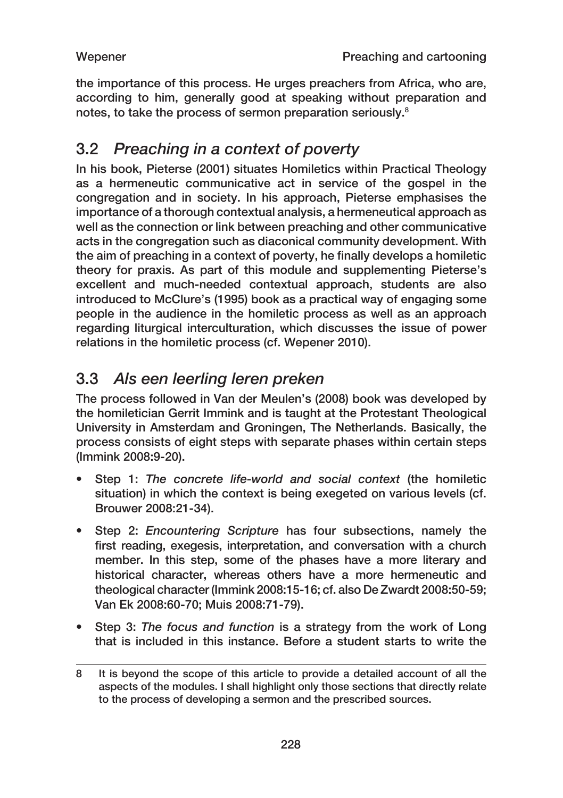the importance of this process. He urges preachers from Africa, who are, according to him, generally good at speaking without preparation and notes, to take the process of sermon preparation seriously.8

## 3.2 *Preaching in a context of poverty*

In his book, Pieterse (2001) situates Homiletics within Practical Theology as a hermeneutic communicative act in service of the gospel in the congregation and in society. In his approach, Pieterse emphasises the importance of a thorough contextual analysis, a hermeneutical approach as well as the connection or link between preaching and other communicative acts in the congregation such as diaconical community development. With the aim of preaching in a context of poverty, he finally develops a homiletic theory for praxis. As part of this module and supplementing Pieterse's excellent and much-needed contextual approach, students are also introduced to McClure's (1995) book as a practical way of engaging some people in the audience in the homiletic process as well as an approach regarding liturgical interculturation, which discusses the issue of power relations in the homiletic process (cf. Wepener 2010).

## 3.3 *Als een leerling leren preken*

The process followed in Van der Meulen's (2008) book was developed by the homiletician Gerrit Immink and is taught at the Protestant Theological University in Amsterdam and Groningen, The Netherlands. Basically, the process consists of eight steps with separate phases within certain steps (Immink 2008:9‑20).

- Step 1: *The concrete life‑world and social context* (the homiletic situation) in which the context is being exegeted on various levels (cf. Brouwer 2008:21‑34).
- Step 2: *Encountering Scripture* has four subsections, namely the first reading, exegesis, interpretation, and conversation with a church member. In this step, some of the phases have a more literary and historical character, whereas others have a more hermeneutic and theological character (Immink 2008:15‑16; cf. also De Zwardt 2008:50‑59; Van Ek 2008:60‑70; Muis 2008:71‑79).
- Step 3: *The focus and function* is a strategy from the work of Long that is included in this instance. Before a student starts to write the

<sup>8</sup> It is beyond the scope of this article to provide a detailed account of all the aspects of the modules. I shall highlight only those sections that directly relate to the process of developing a sermon and the prescribed sources.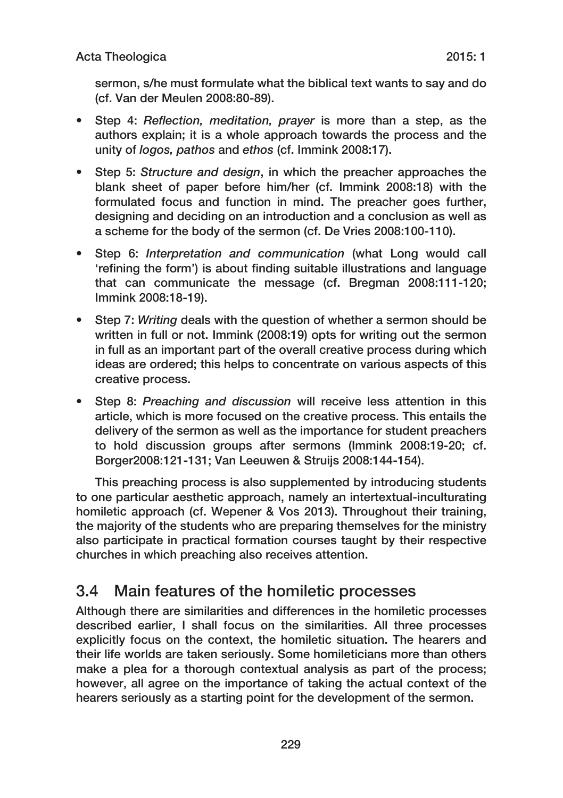sermon, s/he must formulate what the biblical text wants to say and do (cf. Van der Meulen 2008:80‑89).

- Step 4: *Reflection, meditation, prayer* is more than a step, as the authors explain; it is a whole approach towards the process and the unity of *logos, pathos* and *ethos* (cf. Immink 2008:17).
- Step 5: *Structure and design*, in which the preacher approaches the blank sheet of paper before him/her (cf. Immink 2008:18) with the formulated focus and function in mind. The preacher goes further, designing and deciding on an introduction and a conclusion as well as a scheme for the body of the sermon (cf. De Vries 2008:100-110).
- Step 6: *Interpretation and communication* (what Long would call 'refining the form') is about finding suitable illustrations and language that can communicate the message (cf. Bregman 2008:111‑120; Immink 2008:18‑19).
- Step 7: *Writing* deals with the question of whether a sermon should be written in full or not. Immink (2008:19) opts for writing out the sermon in full as an important part of the overall creative process during which ideas are ordered; this helps to concentrate on various aspects of this creative process.
- Step 8: *Preaching and discussion* will receive less attention in this article, which is more focused on the creative process. This entails the delivery of the sermon as well as the importance for student preachers to hold discussion groups after sermons (Immink 2008:19‑20; cf. Borger2008:121‑131; Van Leeuwen & Struijs 2008:144‑154).

This preaching process is also supplemented by introducing students to one particular aesthetic approach, namely an intertextual-inculturating homiletic approach (cf. Wepener & Vos 2013). Throughout their training, the majority of the students who are preparing themselves for the ministry also participate in practical formation courses taught by their respective churches in which preaching also receives attention.

## 3.4 Main features of the homiletic processes

Although there are similarities and differences in the homiletic processes described earlier, I shall focus on the similarities. All three processes explicitly focus on the context, the homiletic situation. The hearers and their life worlds are taken seriously. Some homileticians more than others make a plea for a thorough contextual analysis as part of the process; however, all agree on the importance of taking the actual context of the hearers seriously as a starting point for the development of the sermon.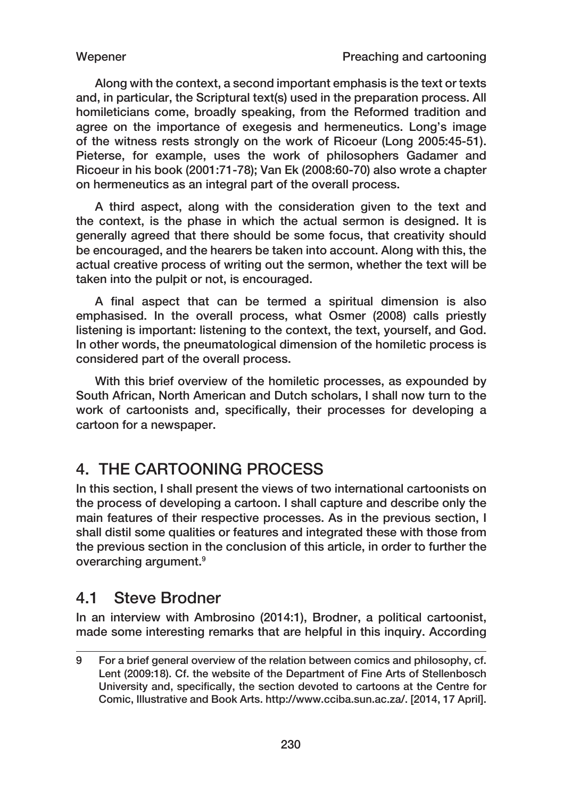Along with the context, a second important emphasis is the text or texts and, in particular, the Scriptural text(s) used in the preparation process. All homileticians come, broadly speaking, from the Reformed tradition and agree on the importance of exegesis and hermeneutics. Long's image of the witness rests strongly on the work of Ricoeur (Long 2005:45-51). Pieterse, for example, uses the work of philosophers Gadamer and Ricoeur in his book (2001:71‑78); Van Ek (2008:60‑70) also wrote a chapter on hermeneutics as an integral part of the overall process.

A third aspect, along with the consideration given to the text and the context, is the phase in which the actual sermon is designed. It is generally agreed that there should be some focus, that creativity should be encouraged, and the hearers be taken into account. Along with this, the actual creative process of writing out the sermon, whether the text will be taken into the pulpit or not, is encouraged.

A final aspect that can be termed a spiritual dimension is also emphasised. In the overall process, what Osmer (2008) calls priestly listening is important: listening to the context, the text, yourself, and God. In other words, the pneumatological dimension of the homiletic process is considered part of the overall process.

With this brief overview of the homiletic processes, as expounded by South African, North American and Dutch scholars, I shall now turn to the work of cartoonists and, specifically, their processes for developing a cartoon for a newspaper.

## 4. THE CARTOONING PROCESS

In this section, I shall present the views of two international cartoonists on the process of developing a cartoon. I shall capture and describe only the main features of their respective processes. As in the previous section, I shall distil some qualities or features and integrated these with those from the previous section in the conclusion of this article, in order to further the overarching argument.9

## 4.1 Steve Brodner

In an interview with Ambrosino (2014:1), Brodner, a political cartoonist, made some interesting remarks that are helpful in this inquiry. According

<sup>9</sup> For a brief general overview of the relation between comics and philosophy, cf. Lent (2009:18). Cf. the website of the Department of Fine Arts of Stellenbosch University and, specifically, the section devoted to cartoons at the Centre for Comic, Illustrative and Book Arts. http://www.cciba.sun.ac.za/. [2014, 17 April].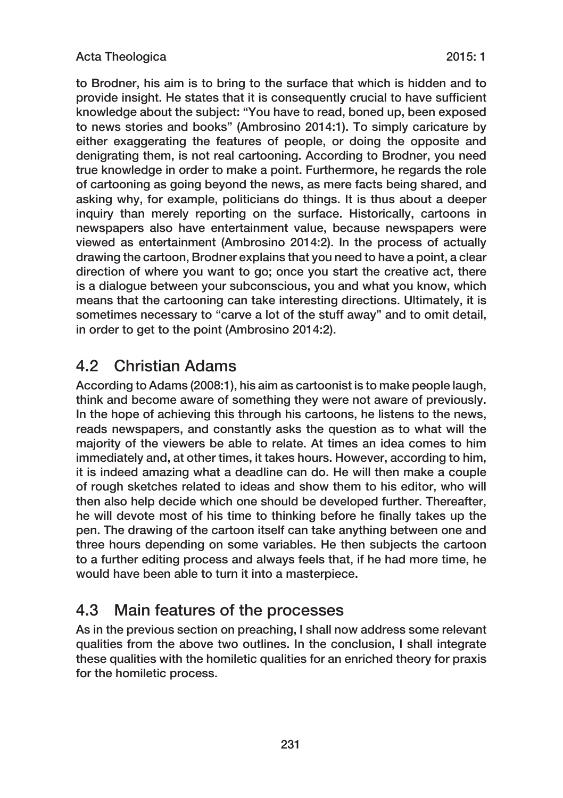to Brodner, his aim is to bring to the surface that which is hidden and to provide insight. He states that it is consequently crucial to have sufficient knowledge about the subject: "You have to read, boned up, been exposed to news stories and books" (Ambrosino 2014:1). To simply caricature by either exaggerating the features of people, or doing the opposite and denigrating them, is not real cartooning. According to Brodner, you need true knowledge in order to make a point. Furthermore, he regards the role of cartooning as going beyond the news, as mere facts being shared, and asking why, for example, politicians do things. It is thus about a deeper inquiry than merely reporting on the surface. Historically, cartoons in newspapers also have entertainment value, because newspapers were viewed as entertainment (Ambrosino 2014:2). In the process of actually drawing the cartoon, Brodner explains that you need to have a point, a clear direction of where you want to go; once you start the creative act, there is a dialogue between your subconscious, you and what you know, which means that the cartooning can take interesting directions. Ultimately, it is sometimes necessary to "carve a lot of the stuff away" and to omit detail, in order to get to the point (Ambrosino 2014:2).

## 4.2 Christian Adams

According to Adams (2008:1), his aim as cartoonist is to make people laugh, think and become aware of something they were not aware of previously. In the hope of achieving this through his cartoons, he listens to the news, reads newspapers, and constantly asks the question as to what will the majority of the viewers be able to relate. At times an idea comes to him immediately and, at other times, it takes hours. However, according to him, it is indeed amazing what a deadline can do. He will then make a couple of rough sketches related to ideas and show them to his editor, who will then also help decide which one should be developed further. Thereafter, he will devote most of his time to thinking before he finally takes up the pen. The drawing of the cartoon itself can take anything between one and three hours depending on some variables. He then subjects the cartoon to a further editing process and always feels that, if he had more time, he would have been able to turn it into a masterpiece.

## 4.3 Main features of the processes

As in the previous section on preaching, I shall now address some relevant qualities from the above two outlines. In the conclusion, I shall integrate these qualities with the homiletic qualities for an enriched theory for praxis for the homiletic process.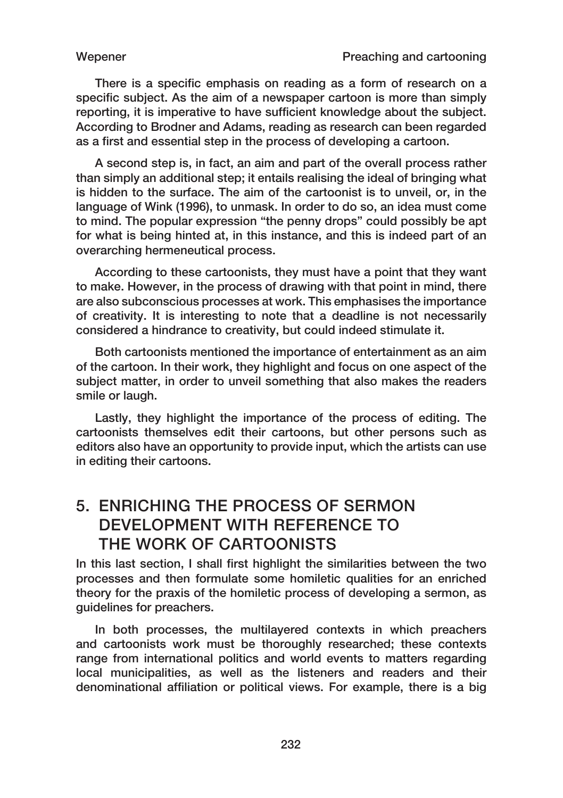There is a specific emphasis on reading as a form of research on a specific subject. As the aim of a newspaper cartoon is more than simply reporting, it is imperative to have sufficient knowledge about the subject. According to Brodner and Adams, reading as research can been regarded as a first and essential step in the process of developing a cartoon.

A second step is, in fact, an aim and part of the overall process rather than simply an additional step; it entails realising the ideal of bringing what is hidden to the surface. The aim of the cartoonist is to unveil, or, in the language of Wink (1996), to unmask. In order to do so, an idea must come to mind. The popular expression "the penny drops" could possibly be apt for what is being hinted at, in this instance, and this is indeed part of an overarching hermeneutical process.

According to these cartoonists, they must have a point that they want to make. However, in the process of drawing with that point in mind, there are also subconscious processes at work. This emphasises the importance of creativity. It is interesting to note that a deadline is not necessarily considered a hindrance to creativity, but could indeed stimulate it.

Both cartoonists mentioned the importance of entertainment as an aim of the cartoon. In their work, they highlight and focus on one aspect of the subject matter, in order to unveil something that also makes the readers smile or laugh.

Lastly, they highlight the importance of the process of editing. The cartoonists themselves edit their cartoons, but other persons such as editors also have an opportunity to provide input, which the artists can use in editing their cartoons.

## 5. ENRICHING THE PROCESS OF SERMON DEVELOPMENT WITH REFERENCE TO THE WORK OF CARTOONISTS

In this last section, I shall first highlight the similarities between the two processes and then formulate some homiletic qualities for an enriched theory for the praxis of the homiletic process of developing a sermon, as guidelines for preachers.

In both processes, the multilayered contexts in which preachers and cartoonists work must be thoroughly researched; these contexts range from international politics and world events to matters regarding local municipalities, as well as the listeners and readers and their denominational affiliation or political views. For example, there is a big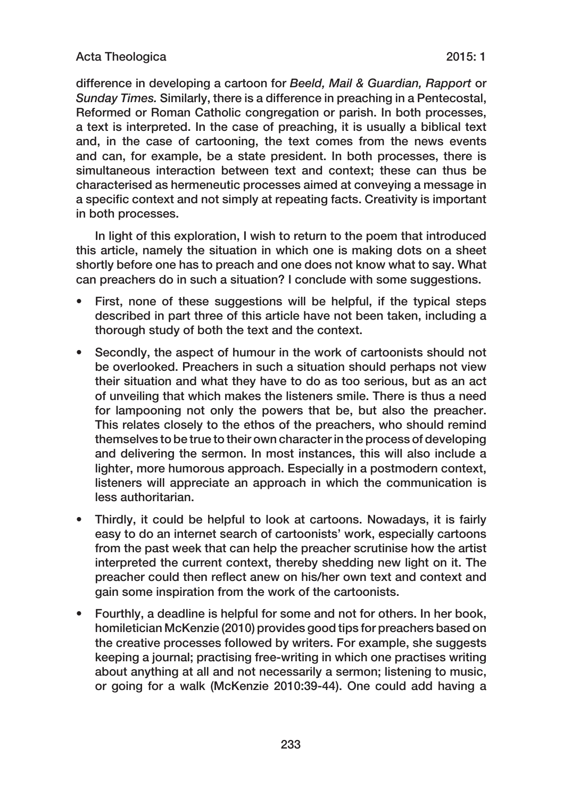### Acta Theologica 2015: 1

difference in developing a cartoon for *Beeld, Mail & Guardian, Rapport* or *Sunday Times.* Similarly, there is a difference in preaching in a Pentecostal, Reformed or Roman Catholic congregation or parish. In both processes, a text is interpreted. In the case of preaching, it is usually a biblical text and, in the case of cartooning, the text comes from the news events and can, for example, be a state president. In both processes, there is simultaneous interaction between text and context; these can thus be characterised as hermeneutic processes aimed at conveying a message in a specific context and not simply at repeating facts. Creativity is important in both processes.

In light of this exploration, I wish to return to the poem that introduced this article, namely the situation in which one is making dots on a sheet shortly before one has to preach and one does not know what to say. What can preachers do in such a situation? I conclude with some suggestions.

- First, none of these suggestions will be helpful, if the typical steps described in part three of this article have not been taken, including a thorough study of both the text and the context.
- Secondly, the aspect of humour in the work of cartoonists should not be overlooked. Preachers in such a situation should perhaps not view their situation and what they have to do as too serious, but as an act of unveiling that which makes the listeners smile. There is thus a need for lampooning not only the powers that be, but also the preacher. This relates closely to the ethos of the preachers, who should remind themselves to be true to their own character in the process of developing and delivering the sermon. In most instances, this will also include a lighter, more humorous approach. Especially in a postmodern context, listeners will appreciate an approach in which the communication is less authoritarian.
- Thirdly, it could be helpful to look at cartoons. Nowadays, it is fairly easy to do an internet search of cartoonists' work, especially cartoons from the past week that can help the preacher scrutinise how the artist interpreted the current context, thereby shedding new light on it. The preacher could then reflect anew on his/her own text and context and gain some inspiration from the work of the cartoonists.
- Fourthly, a deadline is helpful for some and not for others. In her book, homiletician McKenzie (2010) provides good tips for preachers based on the creative processes followed by writers. For example, she suggests keeping a journal; practising free‑writing in which one practises writing about anything at all and not necessarily a sermon; listening to music, or going for a walk (McKenzie 2010:39‑44). One could add having a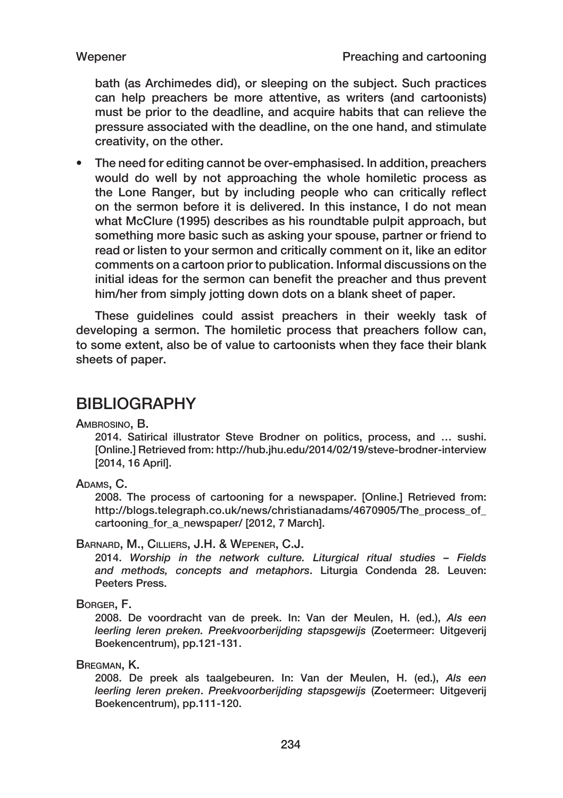bath (as Archimedes did), or sleeping on the subject. Such practices can help preachers be more attentive, as writers (and cartoonists) must be prior to the deadline, and acquire habits that can relieve the pressure associated with the deadline, on the one hand, and stimulate creativity, on the other.

• The need for editing cannot be over-emphasised. In addition, preachers would do well by not approaching the whole homiletic process as the Lone Ranger, but by including people who can critically reflect on the sermon before it is delivered. In this instance, I do not mean what McClure (1995) describes as his roundtable pulpit approach, but something more basic such as asking your spouse, partner or friend to read or listen to your sermon and critically comment on it, like an editor comments on a cartoon prior to publication. Informal discussions on the initial ideas for the sermon can benefit the preacher and thus prevent him/her from simply jotting down dots on a blank sheet of paper.

These guidelines could assist preachers in their weekly task of developing a sermon. The homiletic process that preachers follow can, to some extent, also be of value to cartoonists when they face their blank sheets of paper.

## BIBLIOGRAPHY

Ambrosino, B.

2014. Satirical illustrator Steve Brodner on politics, process, and … sushi. [Online.] Retrieved from: http://hub.jhu.edu/2014/02/19/steve-brodner-interview [2014, 16 April].

Adams, C.

2008. The process of cartooning for a newspaper. [Online.] Retrieved from: http://blogs.telegraph.co.uk/news/christianadams/4670905/The\_process\_of cartooning\_for\_a\_newspaper/ [2012, 7 March].

#### Barnard, M., Cilliers, J.H. & Wepener, C.J.

2014. *Worship in the network culture. Liturgical ritual studies – Fields and methods, concepts and metaphors*. Liturgia Condenda 28. Leuven: Peeters Press.

Borger, F.

2008. De voordracht van de preek. In: Van der Meulen, H. (ed.), *Als een leerling leren preken. Preekvoorberijding stapsgewijs* (Zoetermeer: Uitgeverij Boekencentrum), pp.121-131.

Bregman, K.

2008. De preek als taalgebeuren. In: Van der Meulen, H. (ed.), *Als een leerling leren preken*. *Preekvoorberijding stapsgewijs* (Zoetermeer: Uitgeverij Boekencentrum), pp.111-120.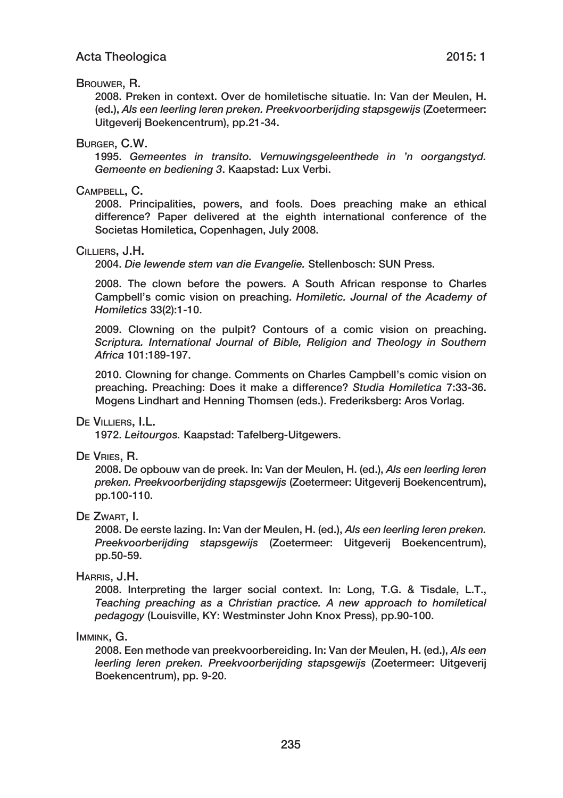#### Brouwer, R.

2008. Preken in context. Over de homiletische situatie. In: Van der Meulen, H. (ed.), *Als een leerling leren preken. Preekvoorberijding stapsgewijs* (Zoetermeer: Uitgeverij Boekencentrum), pp.21-34.

#### Burger, C.W.

1995. *Gemeentes in transito. Vernuwingsgeleenthede in 'n oorgangstyd. Gemeente en bediening 3*. Kaapstad: Lux Verbi.

#### Campbell, C.

2008. Principalities, powers, and fools. Does preaching make an ethical difference? Paper delivered at the eighth international conference of the Societas Homiletica, Copenhagen, July 2008.

#### Cilliers, J.H.

2004. *Die lewende stem van die Evangelie.* Stellenbosch: SUN Press.

2008. The clown before the powers. A South African response to Charles Campbell's comic vision on preaching. *Homiletic. Journal of the Academy of Homiletics* 33(2):1-10.

2009. Clowning on the pulpit? Contours of a comic vision on preaching. *Scriptura. International Journal of Bible, Religion and Theology in Southern Africa* 101:189-197.

2010. Clowning for change. Comments on Charles Campbell's comic vision on preaching. Preaching: Does it make a difference? *Studia Homiletica* 7:33-36. Mogens Lindhart and Henning Thomsen (eds.). Frederiksberg: Aros Vorlag.

#### De Villiers, I.L.

1972. *Leitourgos.* Kaapstad: Tafelberg-Uitgewers.

#### De Vries, R.

2008. De opbouw van de preek. In: Van der Meulen, H. (ed.), *Als een leerling leren preken. Preekvoorberijding stapsgewijs* (Zoetermeer: Uitgeverij Boekencentrum), pp.100-110.

#### De Zwart, I.

2008. De eerste lazing. In: Van der Meulen, H. (ed.), *Als een leerling leren preken. Preekvoorberijding stapsgewijs* (Zoetermeer: Uitgeverij Boekencentrum), pp.50-59.

#### Harris, J.H.

2008. Interpreting the larger social context. In: Long, T.G. & Tisdale, L.T., *Teaching preaching as a Christian practice. A new approach to homiletical pedagogy* (Louisville, KY: Westminster John Knox Press), pp.90-100.

#### Immink, G.

2008. Een methode van preekvoorbereiding. In: Van der Meulen, H. (ed.), *Als een leerling leren preken. Preekvoorberijding stapsgewijs* (Zoetermeer: Uitgeverij Boekencentrum), pp. 9-20.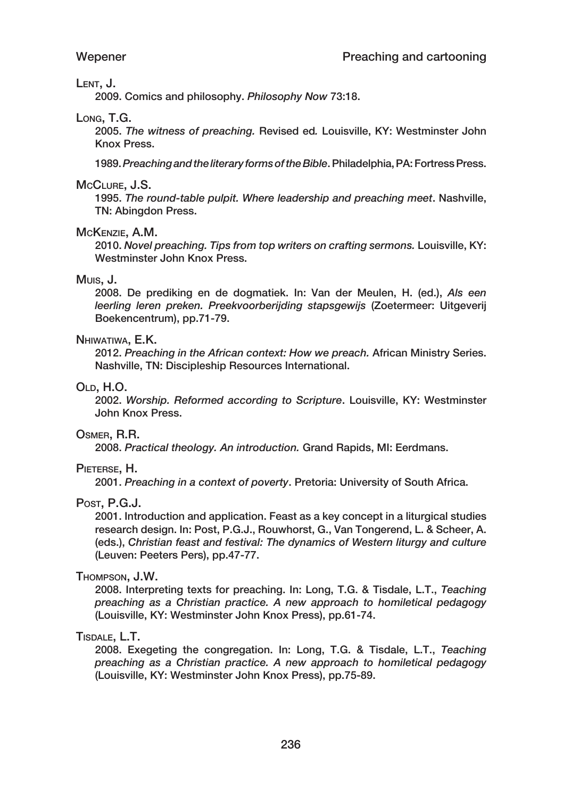### Lent, J.

2009. Comics and philosophy. *Philosophy Now* 73:18.

#### Long, T.G.

2005. *The witness of preaching.* Revised ed*.* Louisville, KY: Westminster John Knox Press.

1989. Preaching and the literary forms of the Bible. Philadelphia, PA: Fortress Press.

#### McClure, J.S.

1995. *The round-table pulpit. Where leadership and preaching meet*. Nashville, TN: Abingdon Press.

#### McKenzie, A.M.

2010. *Novel preaching. Tips from top writers on crafting sermons.* Louisville, KY: Westminster John Knox Press.

#### Muis, J.

2008. De prediking en de dogmatiek. In: Van der Meulen, H. (ed.), *Als een leerling leren preken. Preekvoorberijding stapsgewijs* (Zoetermeer: Uitgeverij Boekencentrum), pp.71-79.

#### Nhiwatiwa, E.K.

2012. *Preaching in the African context: How we preach.* African Ministry Series. Nashville, TN: Discipleship Resources International.

#### OLD, H.O.

2002. *Worship. Reformed according to Scripture*. Louisville, KY: Westminster John Knox Press.

#### Osmer, R.R.

2008. *Practical theology. An introduction.* Grand Rapids, MI: Eerdmans.

#### Pieterse, H.

2001. *Preaching in a context of poverty*. Pretoria: University of South Africa.

### Post, P.G.J.

2001. Introduction and application. Feast as a key concept in a liturgical studies research design. In: Post, P.G.J., Rouwhorst, G., Van Tongerend, L. & Scheer, A. (eds.), *Christian feast and festival: The dynamics of Western liturgy and culture*  (Leuven: Peeters Pers), pp.47-77.

#### Thompson, J.W.

2008. Interpreting texts for preaching. In: Long, T.G. & Tisdale, L.T., *Teaching preaching as a Christian practice. A new approach to homiletical pedagogy* (Louisville, KY: Westminster John Knox Press), pp.61-74.

### Tisdale, L.T.

2008. Exegeting the congregation. In: Long, T.G. & Tisdale, L.T., *Teaching preaching as a Christian practice. A new approach to homiletical pedagogy* (Louisville, KY: Westminster John Knox Press), pp.75-89.